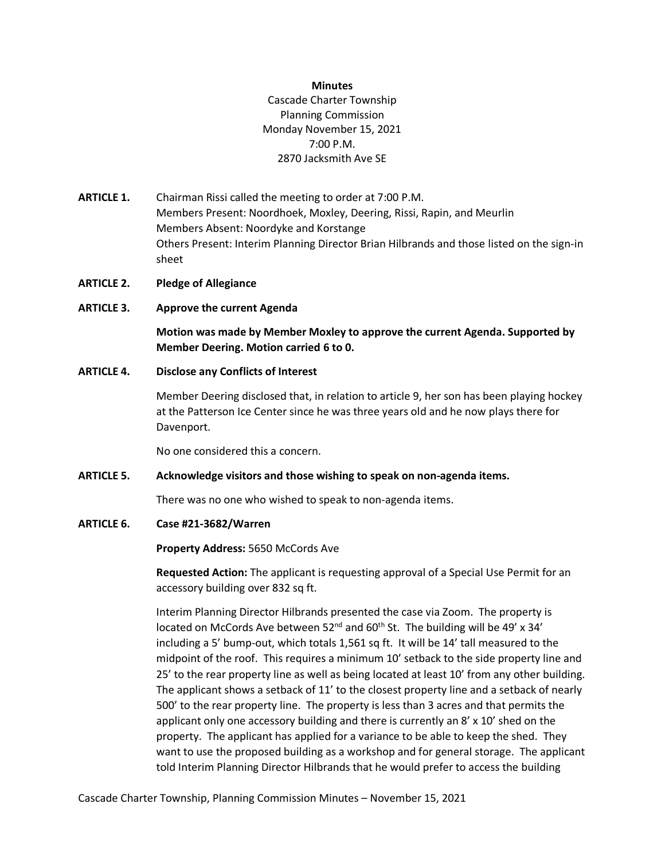#### **Minutes**

Cascade Charter Township Planning Commission Monday November 15, 2021 7:00 P.M. 2870 Jacksmith Ave SE

- **ARTICLE 1.** Chairman Rissi called the meeting to order at 7:00 P.M. Members Present: Noordhoek, Moxley, Deering, Rissi, Rapin, and Meurlin Members Absent: Noordyke and Korstange Others Present: Interim Planning Director Brian Hilbrands and those listed on the sign-in sheet
- **ARTICLE 2. Pledge of Allegiance**
- **ARTICLE 3. Approve the current Agenda**

**Motion was made by Member Moxley to approve the current Agenda. Supported by Member Deering. Motion carried 6 to 0.**

## **ARTICLE 4. Disclose any Conflicts of Interest**

Member Deering disclosed that, in relation to article 9, her son has been playing hockey at the Patterson Ice Center since he was three years old and he now plays there for Davenport.

No one considered this a concern.

## **ARTICLE 5. Acknowledge visitors and those wishing to speak on non-agenda items.**

There was no one who wished to speak to non-agenda items.

**ARTICLE 6. Case #21-3682/Warren** 

**Property Address:** 5650 McCords Ave

**Requested Action:** The applicant is requesting approval of a Special Use Permit for an accessory building over 832 sq ft.

Interim Planning Director Hilbrands presented the case via Zoom. The property is located on McCords Ave between  $52^{nd}$  and  $60^{th}$  St. The building will be 49' x 34' including a 5' bump-out, which totals 1,561 sq ft. It will be 14' tall measured to the midpoint of the roof. This requires a minimum 10' setback to the side property line and 25' to the rear property line as well as being located at least 10' from any other building. The applicant shows a setback of 11' to the closest property line and a setback of nearly 500' to the rear property line. The property is less than 3 acres and that permits the applicant only one accessory building and there is currently an 8' x 10' shed on the property. The applicant has applied for a variance to be able to keep the shed. They want to use the proposed building as a workshop and for general storage. The applicant told Interim Planning Director Hilbrands that he would prefer to access the building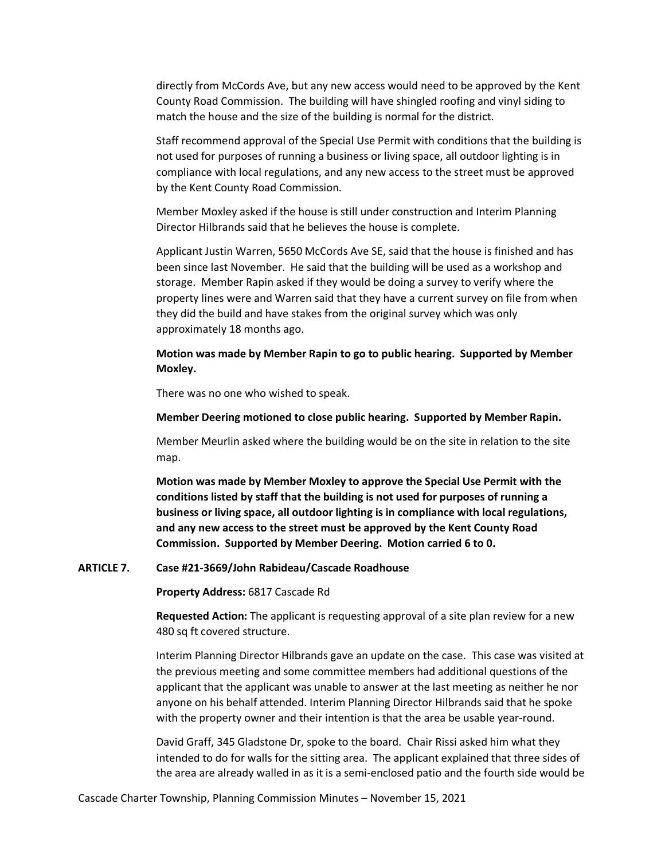directly from McCords Ave, but any new access would need to be approved by the Kent County Road Commission. The building will have shingled roofing and vinyl siding to match the house and the size of the building is normal for the district.

Staff recommend approval of the Special Use Permit with conditions that the building is not used for purposes of running a business or living space, all outdoor lighting is in compliance with local regulations, and any new access to the street must be approved by the Kent County Road Commission.

Member Moxley asked if the house is still under construction and Interim Planning Director Hilbrands said that he believes the house is complete.

Applicant Justin Warren, 5650 McCords Ave SE, said that the house is finished and has been since last November. He said that the building will be used as a workshop and storage. Member Rapin asked if they would be doing a survey to verify where the property lines were and Warren said that they have a current survey on file from when they did the build and have stakes from the original survey which was only approximately 18 months ago.

**Motion was made by Member Rapin to go to public hearing. Supported by Member Moxley.**

There was no one who wished to speak.

**Member Deering motioned to close public hearing. Supported by Member Rapin.** 

Member Meurlin asked where the building would be on the site in relation to the site map.

**Motion was made by Member Moxley to approve the Special Use Permit with the conditions listed by staff that the building is not used for purposes of running a business or living space, all outdoor lighting is in compliance with local regulations, and any new access to the street must be approved by the Kent County Road Commission. Supported by Member Deering. Motion carried 6 to 0.** 

**ARTICLE 7. Case #21-3669/John Rabideau/Cascade Roadhouse** 

**Property Address:** 6817 Cascade Rd

**Requested Action:** The applicant is requesting approval of a site plan review for a new 480 sq ft covered structure.

Interim Planning Director Hilbrands gave an update on the case. This case was visited at the previous meeting and some committee members had additional questions of the applicant that the applicant was unable to answer at the last meeting as neither he nor anyone on his behalf attended. Interim Planning Director Hilbrands said that he spoke with the property owner and their intention is that the area be usable year-round.

David Graff, 345 Gladstone Dr, spoke to the board. Chair Rissi asked him what they intended to do for walls for the sitting area. The applicant explained that three sides of the area are already walled in as it is a semi-enclosed patio and the fourth side would be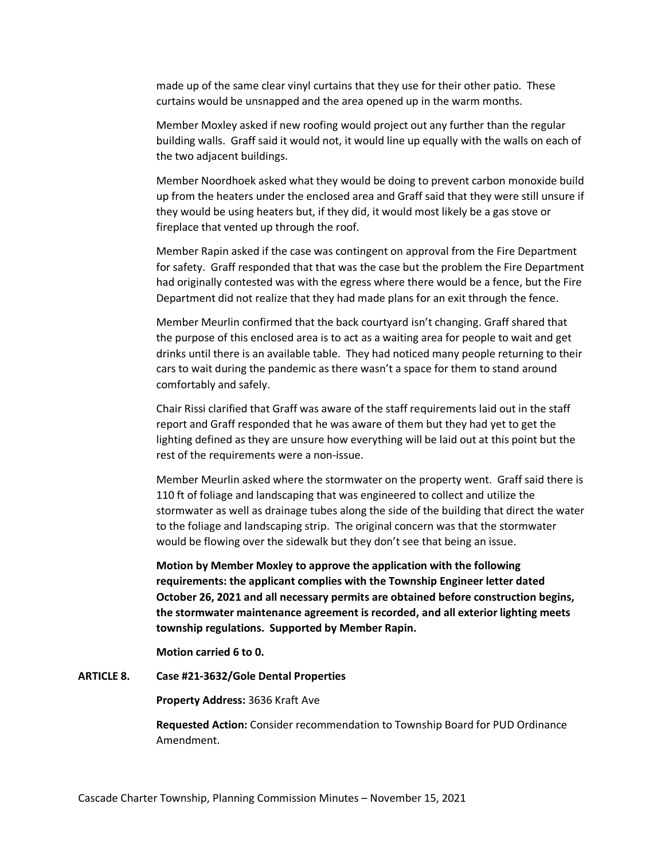made up of the same clear vinyl curtains that they use for their other patio. These curtains would be unsnapped and the area opened up in the warm months.

Member Moxley asked if new roofing would project out any further than the regular building walls. Graff said it would not, it would line up equally with the walls on each of the two adjacent buildings.

Member Noordhoek asked what they would be doing to prevent carbon monoxide build up from the heaters under the enclosed area and Graff said that they were still unsure if they would be using heaters but, if they did, it would most likely be a gas stove or fireplace that vented up through the roof.

Member Rapin asked if the case was contingent on approval from the Fire Department for safety. Graff responded that that was the case but the problem the Fire Department had originally contested was with the egress where there would be a fence, but the Fire Department did not realize that they had made plans for an exit through the fence.

Member Meurlin confirmed that the back courtyard isn't changing. Graff shared that the purpose of this enclosed area is to act as a waiting area for people to wait and get drinks until there is an available table. They had noticed many people returning to their cars to wait during the pandemic as there wasn't a space for them to stand around comfortably and safely.

Chair Rissi clarified that Graff was aware of the staff requirements laid out in the staff report and Graff responded that he was aware of them but they had yet to get the lighting defined as they are unsure how everything will be laid out at this point but the rest of the requirements were a non-issue.

Member Meurlin asked where the stormwater on the property went. Graff said there is 110 ft of foliage and landscaping that was engineered to collect and utilize the stormwater as well as drainage tubes along the side of the building that direct the water to the foliage and landscaping strip. The original concern was that the stormwater would be flowing over the sidewalk but they don't see that being an issue.

**Motion by Member Moxley to approve the application with the following requirements: the applicant complies with the Township Engineer letter dated October 26, 2021 and all necessary permits are obtained before construction begins, the stormwater maintenance agreement is recorded, and all exterior lighting meets township regulations. Supported by Member Rapin.**

**Motion carried 6 to 0.** 

**ARTICLE 8. Case #21-3632/Gole Dental Properties** 

**Property Address:** 3636 Kraft Ave

**Requested Action:** Consider recommendation to Township Board for PUD Ordinance Amendment.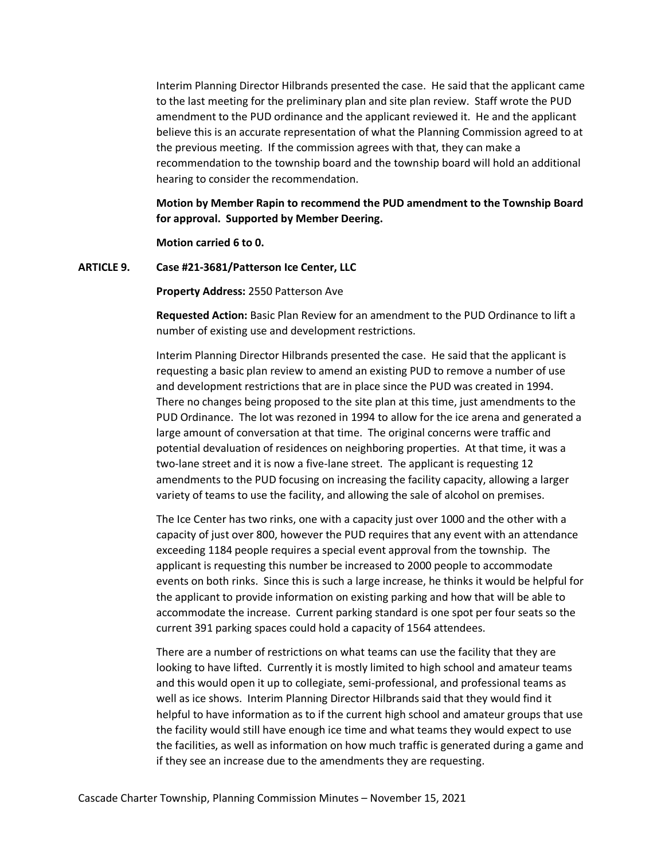Interim Planning Director Hilbrands presented the case. He said that the applicant came to the last meeting for the preliminary plan and site plan review. Staff wrote the PUD amendment to the PUD ordinance and the applicant reviewed it. He and the applicant believe this is an accurate representation of what the Planning Commission agreed to at the previous meeting. If the commission agrees with that, they can make a recommendation to the township board and the township board will hold an additional hearing to consider the recommendation.

**Motion by Member Rapin to recommend the PUD amendment to the Township Board for approval. Supported by Member Deering.** 

**Motion carried 6 to 0.**

**ARTICLE 9. Case #21-3681/Patterson Ice Center, LLC**

**Property Address:** 2550 Patterson Ave

**Requested Action:** Basic Plan Review for an amendment to the PUD Ordinance to lift a number of existing use and development restrictions.

Interim Planning Director Hilbrands presented the case. He said that the applicant is requesting a basic plan review to amend an existing PUD to remove a number of use and development restrictions that are in place since the PUD was created in 1994. There no changes being proposed to the site plan at this time, just amendments to the PUD Ordinance. The lot was rezoned in 1994 to allow for the ice arena and generated a large amount of conversation at that time. The original concerns were traffic and potential devaluation of residences on neighboring properties. At that time, it was a two-lane street and it is now a five-lane street. The applicant is requesting 12 amendments to the PUD focusing on increasing the facility capacity, allowing a larger variety of teams to use the facility, and allowing the sale of alcohol on premises.

The Ice Center has two rinks, one with a capacity just over 1000 and the other with a capacity of just over 800, however the PUD requires that any event with an attendance exceeding 1184 people requires a special event approval from the township. The applicant is requesting this number be increased to 2000 people to accommodate events on both rinks. Since this is such a large increase, he thinks it would be helpful for the applicant to provide information on existing parking and how that will be able to accommodate the increase. Current parking standard is one spot per four seats so the current 391 parking spaces could hold a capacity of 1564 attendees.

There are a number of restrictions on what teams can use the facility that they are looking to have lifted. Currently it is mostly limited to high school and amateur teams and this would open it up to collegiate, semi-professional, and professional teams as well as ice shows. Interim Planning Director Hilbrands said that they would find it helpful to have information as to if the current high school and amateur groups that use the facility would still have enough ice time and what teams they would expect to use the facilities, as well as information on how much traffic is generated during a game and if they see an increase due to the amendments they are requesting.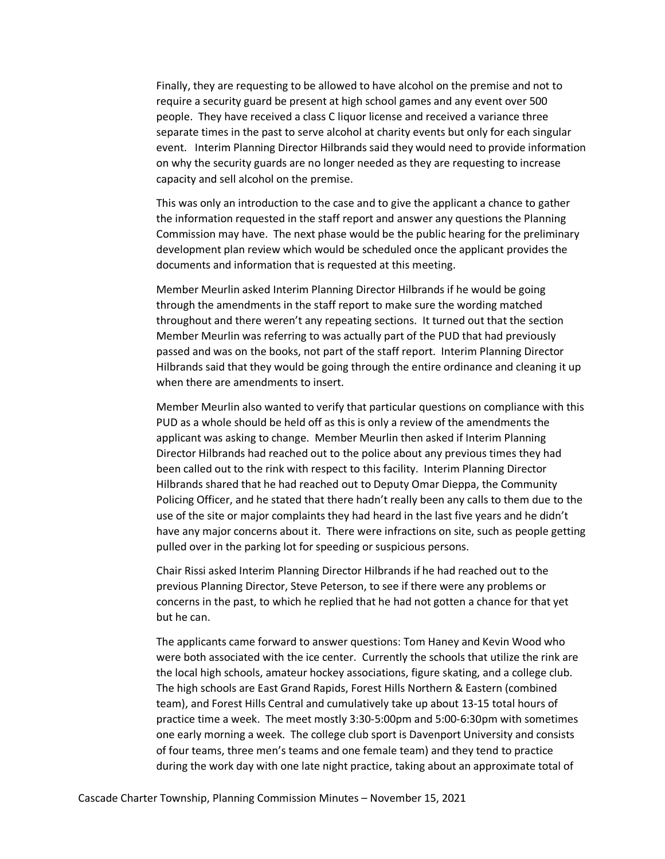Finally, they are requesting to be allowed to have alcohol on the premise and not to require a security guard be present at high school games and any event over 500 people. They have received a class C liquor license and received a variance three separate times in the past to serve alcohol at charity events but only for each singular event. Interim Planning Director Hilbrands said they would need to provide information on why the security guards are no longer needed as they are requesting to increase capacity and sell alcohol on the premise.

This was only an introduction to the case and to give the applicant a chance to gather the information requested in the staff report and answer any questions the Planning Commission may have. The next phase would be the public hearing for the preliminary development plan review which would be scheduled once the applicant provides the documents and information that is requested at this meeting.

Member Meurlin asked Interim Planning Director Hilbrands if he would be going through the amendments in the staff report to make sure the wording matched throughout and there weren't any repeating sections. It turned out that the section Member Meurlin was referring to was actually part of the PUD that had previously passed and was on the books, not part of the staff report. Interim Planning Director Hilbrands said that they would be going through the entire ordinance and cleaning it up when there are amendments to insert.

Member Meurlin also wanted to verify that particular questions on compliance with this PUD as a whole should be held off as this is only a review of the amendments the applicant was asking to change. Member Meurlin then asked if Interim Planning Director Hilbrands had reached out to the police about any previous times they had been called out to the rink with respect to this facility. Interim Planning Director Hilbrands shared that he had reached out to Deputy Omar Dieppa, the Community Policing Officer, and he stated that there hadn't really been any calls to them due to the use of the site or major complaints they had heard in the last five years and he didn't have any major concerns about it. There were infractions on site, such as people getting pulled over in the parking lot for speeding or suspicious persons.

Chair Rissi asked Interim Planning Director Hilbrands if he had reached out to the previous Planning Director, Steve Peterson, to see if there were any problems or concerns in the past, to which he replied that he had not gotten a chance for that yet but he can.

The applicants came forward to answer questions: Tom Haney and Kevin Wood who were both associated with the ice center. Currently the schools that utilize the rink are the local high schools, amateur hockey associations, figure skating, and a college club. The high schools are East Grand Rapids, Forest Hills Northern & Eastern (combined team), and Forest Hills Central and cumulatively take up about 13-15 total hours of practice time a week. The meet mostly 3:30-5:00pm and 5:00-6:30pm with sometimes one early morning a week. The college club sport is Davenport University and consists of four teams, three men's teams and one female team) and they tend to practice during the work day with one late night practice, taking about an approximate total of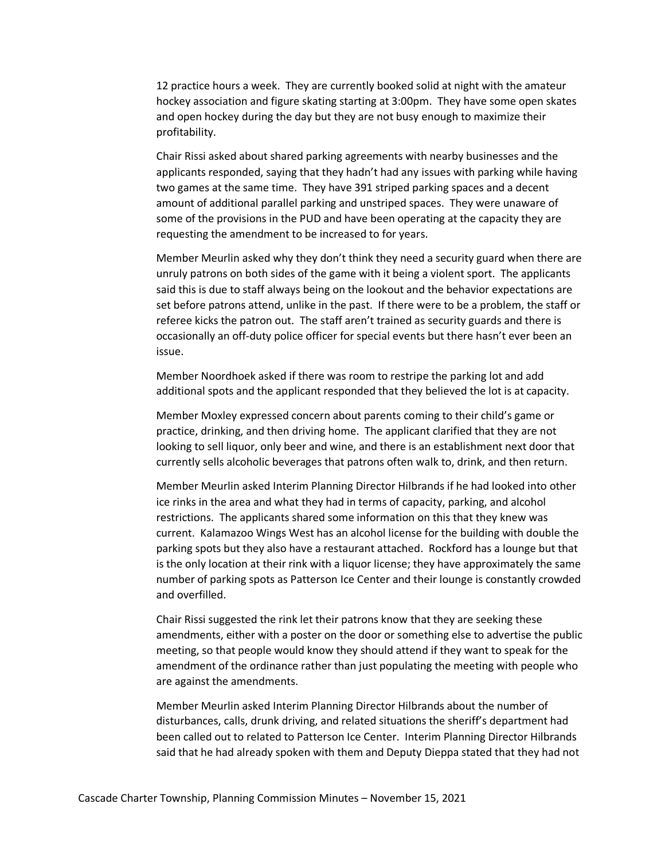12 practice hours a week. They are currently booked solid at night with the amateur hockey association and figure skating starting at 3:00pm. They have some open skates and open hockey during the day but they are not busy enough to maximize their profitability.

Chair Rissi asked about shared parking agreements with nearby businesses and the applicants responded, saying that they hadn't had any issues with parking while having two games at the same time. They have 391 striped parking spaces and a decent amount of additional parallel parking and unstriped spaces. They were unaware of some of the provisions in the PUD and have been operating at the capacity they are requesting the amendment to be increased to for years.

Member Meurlin asked why they don't think they need a security guard when there are unruly patrons on both sides of the game with it being a violent sport. The applicants said this is due to staff always being on the lookout and the behavior expectations are set before patrons attend, unlike in the past. If there were to be a problem, the staff or referee kicks the patron out. The staff aren't trained as security guards and there is occasionally an off-duty police officer for special events but there hasn't ever been an issue.

Member Noordhoek asked if there was room to restripe the parking lot and add additional spots and the applicant responded that they believed the lot is at capacity.

Member Moxley expressed concern about parents coming to their child's game or practice, drinking, and then driving home. The applicant clarified that they are not looking to sell liquor, only beer and wine, and there is an establishment next door that currently sells alcoholic beverages that patrons often walk to, drink, and then return.

Member Meurlin asked Interim Planning Director Hilbrands if he had looked into other ice rinks in the area and what they had in terms of capacity, parking, and alcohol restrictions. The applicants shared some information on this that they knew was current. Kalamazoo Wings West has an alcohol license for the building with double the parking spots but they also have a restaurant attached. Rockford has a lounge but that is the only location at their rink with a liquor license; they have approximately the same number of parking spots as Patterson Ice Center and their lounge is constantly crowded and overfilled.

Chair Rissi suggested the rink let their patrons know that they are seeking these amendments, either with a poster on the door or something else to advertise the public meeting, so that people would know they should attend if they want to speak for the amendment of the ordinance rather than just populating the meeting with people who are against the amendments.

Member Meurlin asked Interim Planning Director Hilbrands about the number of disturbances, calls, drunk driving, and related situations the sheriff's department had been called out to related to Patterson Ice Center. Interim Planning Director Hilbrands said that he had already spoken with them and Deputy Dieppa stated that they had not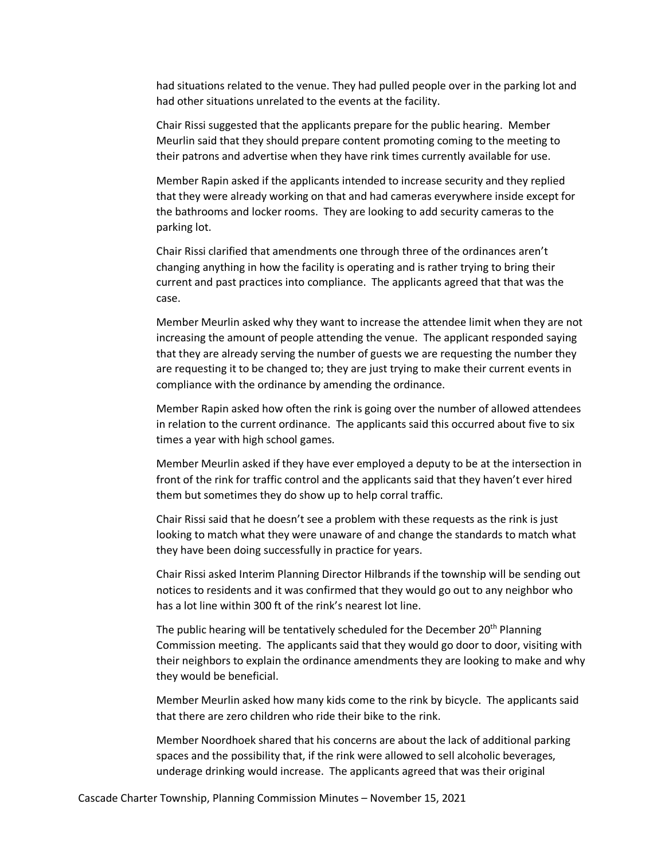had situations related to the venue. They had pulled people over in the parking lot and had other situations unrelated to the events at the facility.

Chair Rissi suggested that the applicants prepare for the public hearing. Member Meurlin said that they should prepare content promoting coming to the meeting to their patrons and advertise when they have rink times currently available for use.

Member Rapin asked if the applicants intended to increase security and they replied that they were already working on that and had cameras everywhere inside except for the bathrooms and locker rooms. They are looking to add security cameras to the parking lot.

Chair Rissi clarified that amendments one through three of the ordinances aren't changing anything in how the facility is operating and is rather trying to bring their current and past practices into compliance. The applicants agreed that that was the case.

Member Meurlin asked why they want to increase the attendee limit when they are not increasing the amount of people attending the venue. The applicant responded saying that they are already serving the number of guests we are requesting the number they are requesting it to be changed to; they are just trying to make their current events in compliance with the ordinance by amending the ordinance.

Member Rapin asked how often the rink is going over the number of allowed attendees in relation to the current ordinance. The applicants said this occurred about five to six times a year with high school games.

Member Meurlin asked if they have ever employed a deputy to be at the intersection in front of the rink for traffic control and the applicants said that they haven't ever hired them but sometimes they do show up to help corral traffic.

Chair Rissi said that he doesn't see a problem with these requests as the rink is just looking to match what they were unaware of and change the standards to match what they have been doing successfully in practice for years.

Chair Rissi asked Interim Planning Director Hilbrands if the township will be sending out notices to residents and it was confirmed that they would go out to any neighbor who has a lot line within 300 ft of the rink's nearest lot line.

The public hearing will be tentatively scheduled for the December 20<sup>th</sup> Planning Commission meeting. The applicants said that they would go door to door, visiting with their neighbors to explain the ordinance amendments they are looking to make and why they would be beneficial.

Member Meurlin asked how many kids come to the rink by bicycle. The applicants said that there are zero children who ride their bike to the rink.

Member Noordhoek shared that his concerns are about the lack of additional parking spaces and the possibility that, if the rink were allowed to sell alcoholic beverages, underage drinking would increase. The applicants agreed that was their original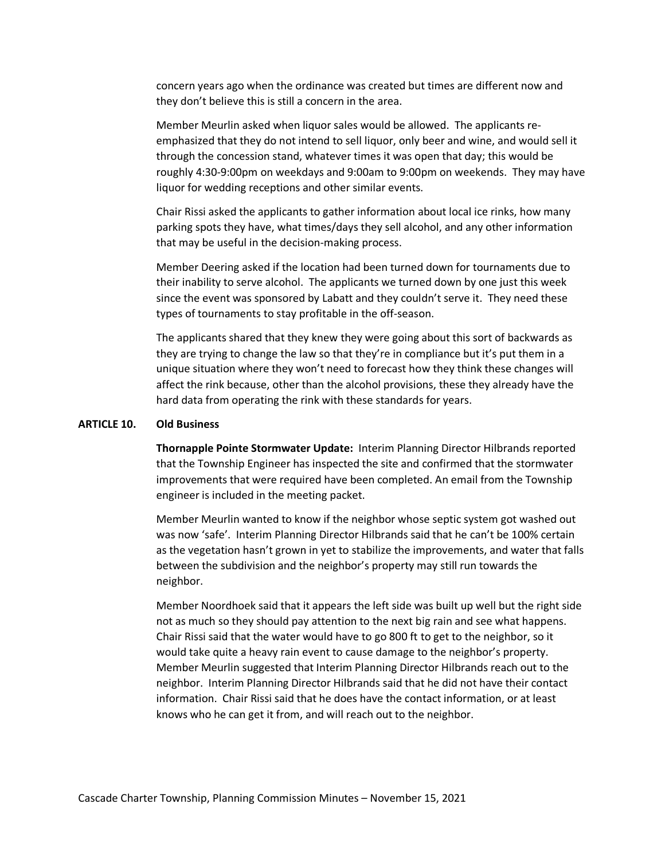concern years ago when the ordinance was created but times are different now and they don't believe this is still a concern in the area.

Member Meurlin asked when liquor sales would be allowed. The applicants reemphasized that they do not intend to sell liquor, only beer and wine, and would sell it through the concession stand, whatever times it was open that day; this would be roughly 4:30-9:00pm on weekdays and 9:00am to 9:00pm on weekends. They may have liquor for wedding receptions and other similar events.

Chair Rissi asked the applicants to gather information about local ice rinks, how many parking spots they have, what times/days they sell alcohol, and any other information that may be useful in the decision-making process.

Member Deering asked if the location had been turned down for tournaments due to their inability to serve alcohol. The applicants we turned down by one just this week since the event was sponsored by Labatt and they couldn't serve it. They need these types of tournaments to stay profitable in the off-season.

The applicants shared that they knew they were going about this sort of backwards as they are trying to change the law so that they're in compliance but it's put them in a unique situation where they won't need to forecast how they think these changes will affect the rink because, other than the alcohol provisions, these they already have the hard data from operating the rink with these standards for years.

#### **ARTICLE 10. Old Business**

**Thornapple Pointe Stormwater Update:** Interim Planning Director Hilbrands reported that the Township Engineer has inspected the site and confirmed that the stormwater improvements that were required have been completed. An email from the Township engineer is included in the meeting packet.

Member Meurlin wanted to know if the neighbor whose septic system got washed out was now 'safe'. Interim Planning Director Hilbrands said that he can't be 100% certain as the vegetation hasn't grown in yet to stabilize the improvements, and water that falls between the subdivision and the neighbor's property may still run towards the neighbor.

Member Noordhoek said that it appears the left side was built up well but the right side not as much so they should pay attention to the next big rain and see what happens. Chair Rissi said that the water would have to go 800 ft to get to the neighbor, so it would take quite a heavy rain event to cause damage to the neighbor's property. Member Meurlin suggested that Interim Planning Director Hilbrands reach out to the neighbor. Interim Planning Director Hilbrands said that he did not have their contact information. Chair Rissi said that he does have the contact information, or at least knows who he can get it from, and will reach out to the neighbor.